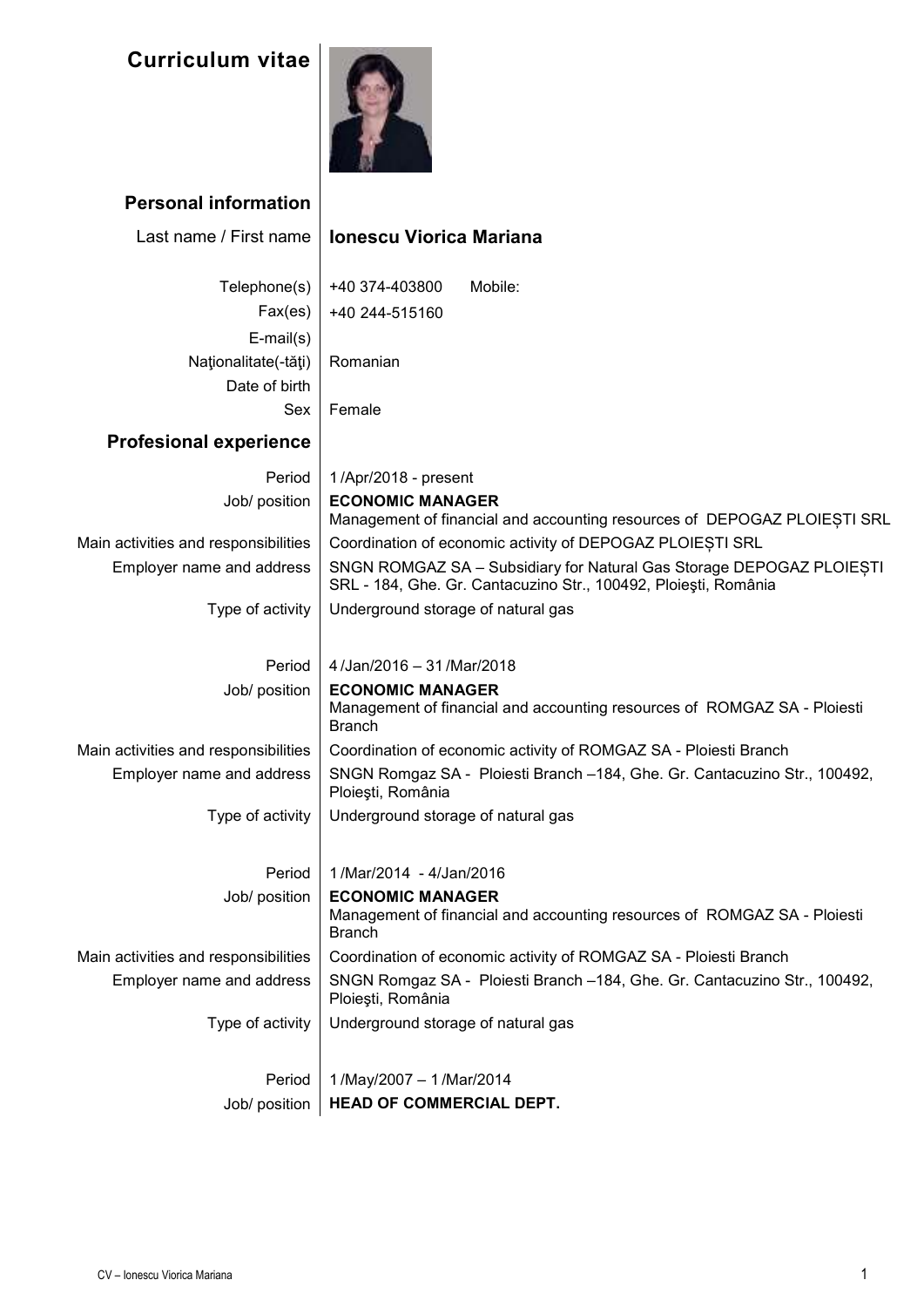

## **Personal information**

| Last name / First name               | <b>Ionescu Viorica Mariana</b>                                                                                                          |
|--------------------------------------|-----------------------------------------------------------------------------------------------------------------------------------------|
| Telephone(s)                         | +40 374-403800<br>Mobile:                                                                                                               |
| Fax(es)                              | +40 244-515160                                                                                                                          |
| $E$ -mail $(s)$                      |                                                                                                                                         |
| Naționalitate(-tăți)                 | Romanian                                                                                                                                |
| Date of birth                        |                                                                                                                                         |
| Sex                                  | Female                                                                                                                                  |
| <b>Profesional experience</b>        |                                                                                                                                         |
| Period                               | 1/Apr/2018 - present                                                                                                                    |
| Job/ position                        | <b>ECONOMIC MANAGER</b>                                                                                                                 |
|                                      | Management of financial and accounting resources of DEPOGAZ PLOIESTI SRL                                                                |
| Main activities and responsibilities | Coordination of economic activity of DEPOGAZ PLOIESTI SRL                                                                               |
| Employer name and address            | SNGN ROMGAZ SA - Subsidiary for Natural Gas Storage DEPOGAZ PLOIESTI<br>SRL - 184, Ghe. Gr. Cantacuzino Str., 100492, Ploiești, România |
| Type of activity                     | Underground storage of natural gas                                                                                                      |
|                                      |                                                                                                                                         |
| Period                               | 4/Jan/2016 - 31/Mar/2018                                                                                                                |
| Job/ position                        | <b>ECONOMIC MANAGER</b><br>Management of financial and accounting resources of ROMGAZ SA - Ploiesti<br><b>Branch</b>                    |
| Main activities and responsibilities | Coordination of economic activity of ROMGAZ SA - Ploiesti Branch                                                                        |
| Employer name and address            | SNGN Romgaz SA - Ploiesti Branch -184, Ghe. Gr. Cantacuzino Str., 100492,<br>Ploiești, România                                          |
| Type of activity                     | Underground storage of natural gas                                                                                                      |
|                                      |                                                                                                                                         |
| Period                               | 1/Mar/2014 - 4/Jan/2016                                                                                                                 |
| Job/ position                        | <b>ECONOMIC MANAGER</b><br>Management of financial and accounting resources of ROMGAZ SA - Ploiesti<br><b>Branch</b>                    |
| Main activities and responsibilities | Coordination of economic activity of ROMGAZ SA - Ploiesti Branch                                                                        |
| Employer name and address            | SNGN Romgaz SA - Ploiesti Branch -184, Ghe. Gr. Cantacuzino Str., 100492,<br>Ploiești, România                                          |
| Type of activity                     | Underground storage of natural gas                                                                                                      |
|                                      |                                                                                                                                         |
| Period                               | 1/May/2007 - 1/Mar/2014                                                                                                                 |
| Job/ position                        | HEAD OF COMMERCIAL DEPT.                                                                                                                |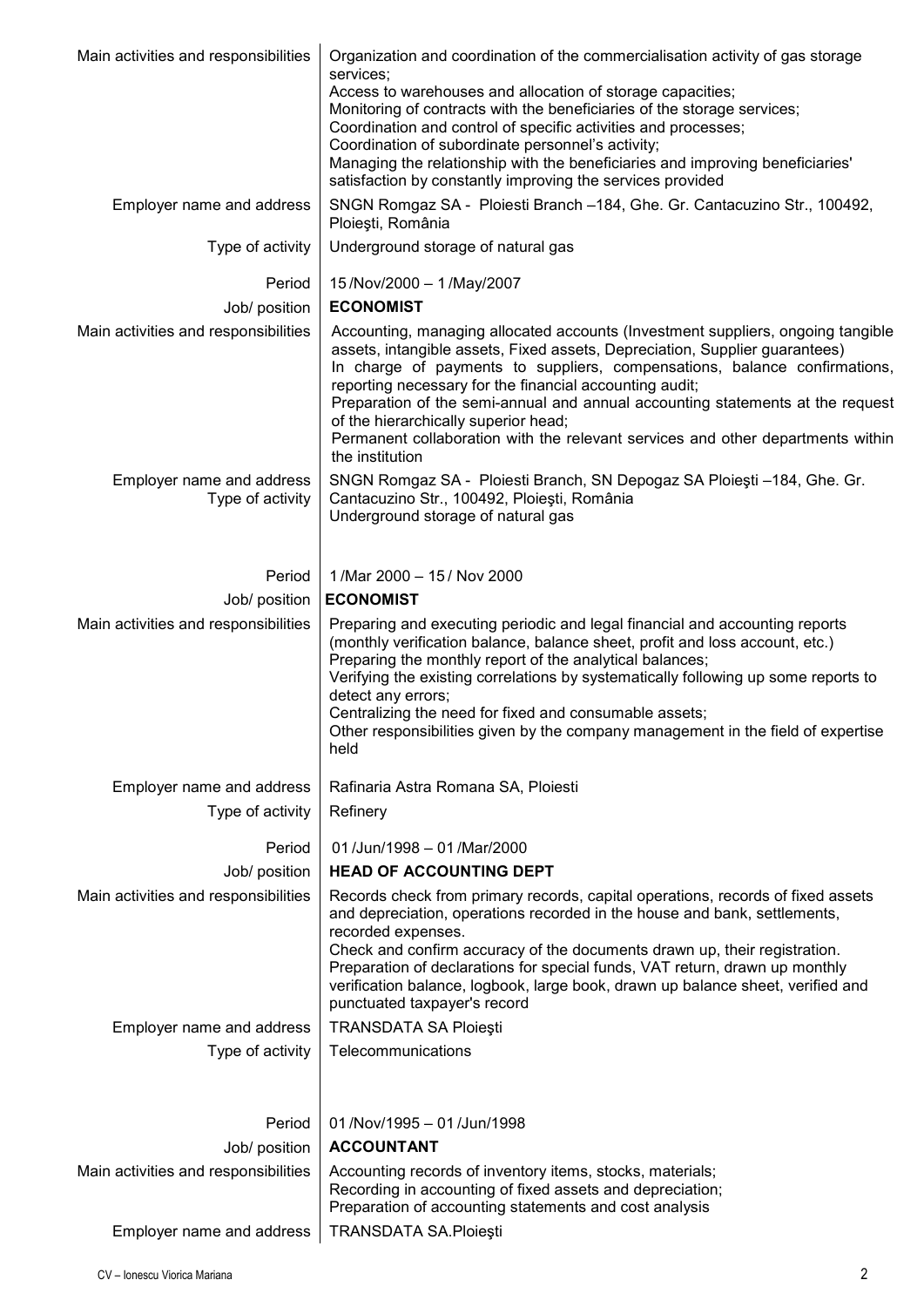| Main activities and responsibilities          | Organization and coordination of the commercialisation activity of gas storage<br>services;<br>Access to warehouses and allocation of storage capacities;                                                                                                                                                                                                                                                                                                                                                                              |  |  |  |  |  |  |
|-----------------------------------------------|----------------------------------------------------------------------------------------------------------------------------------------------------------------------------------------------------------------------------------------------------------------------------------------------------------------------------------------------------------------------------------------------------------------------------------------------------------------------------------------------------------------------------------------|--|--|--|--|--|--|
|                                               | Monitoring of contracts with the beneficiaries of the storage services;<br>Coordination and control of specific activities and processes;<br>Coordination of subordinate personnel's activity;<br>Managing the relationship with the beneficiaries and improving beneficiaries'<br>satisfaction by constantly improving the services provided                                                                                                                                                                                          |  |  |  |  |  |  |
| Employer name and address                     | SNGN Romgaz SA - Ploiesti Branch -184, Ghe. Gr. Cantacuzino Str., 100492,<br>Ploiești, România                                                                                                                                                                                                                                                                                                                                                                                                                                         |  |  |  |  |  |  |
| Type of activity                              | Underground storage of natural gas                                                                                                                                                                                                                                                                                                                                                                                                                                                                                                     |  |  |  |  |  |  |
| Period                                        | 15/Nov/2000 - 1/May/2007                                                                                                                                                                                                                                                                                                                                                                                                                                                                                                               |  |  |  |  |  |  |
| Job/ position                                 | <b>ECONOMIST</b>                                                                                                                                                                                                                                                                                                                                                                                                                                                                                                                       |  |  |  |  |  |  |
| Main activities and responsibilities          | Accounting, managing allocated accounts (Investment suppliers, ongoing tangible<br>assets, intangible assets, Fixed assets, Depreciation, Supplier guarantees)<br>In charge of payments to suppliers, compensations, balance confirmations,<br>reporting necessary for the financial accounting audit;<br>Preparation of the semi-annual and annual accounting statements at the request<br>of the hierarchically superior head;<br>Permanent collaboration with the relevant services and other departments within<br>the institution |  |  |  |  |  |  |
| Employer name and address<br>Type of activity | SNGN Romgaz SA - Ploiesti Branch, SN Depogaz SA Ploiesti -184, Ghe. Gr.<br>Cantacuzino Str., 100492, Ploiești, România<br>Underground storage of natural gas                                                                                                                                                                                                                                                                                                                                                                           |  |  |  |  |  |  |
| Period                                        | 1/Mar 2000 - 15/ Nov 2000                                                                                                                                                                                                                                                                                                                                                                                                                                                                                                              |  |  |  |  |  |  |
| Job/ position                                 | <b>ECONOMIST</b>                                                                                                                                                                                                                                                                                                                                                                                                                                                                                                                       |  |  |  |  |  |  |
| Main activities and responsibilities          | Preparing and executing periodic and legal financial and accounting reports<br>(monthly verification balance, balance sheet, profit and loss account, etc.)<br>Preparing the monthly report of the analytical balances;<br>Verifying the existing correlations by systematically following up some reports to<br>detect any errors;<br>Centralizing the need for fixed and consumable assets;<br>Other responsibilities given by the company management in the field of expertise<br>held                                              |  |  |  |  |  |  |
| Employer name and address                     | Rafinaria Astra Romana SA, Ploiesti                                                                                                                                                                                                                                                                                                                                                                                                                                                                                                    |  |  |  |  |  |  |
| Type of activity                              | Refinery                                                                                                                                                                                                                                                                                                                                                                                                                                                                                                                               |  |  |  |  |  |  |
| Period                                        | 01/Jun/1998 - 01/Mar/2000                                                                                                                                                                                                                                                                                                                                                                                                                                                                                                              |  |  |  |  |  |  |
| Job/ position                                 | <b>HEAD OF ACCOUNTING DEPT</b>                                                                                                                                                                                                                                                                                                                                                                                                                                                                                                         |  |  |  |  |  |  |
| Main activities and responsibilities          | Records check from primary records, capital operations, records of fixed assets<br>and depreciation, operations recorded in the house and bank, settlements,<br>recorded expenses.<br>Check and confirm accuracy of the documents drawn up, their registration.<br>Preparation of declarations for special funds, VAT return, drawn up monthly<br>verification balance, logbook, large book, drawn up balance sheet, verified and<br>punctuated taxpayer's record                                                                      |  |  |  |  |  |  |
| Employer name and address                     | <b>TRANSDATA SA Ploiești</b>                                                                                                                                                                                                                                                                                                                                                                                                                                                                                                           |  |  |  |  |  |  |
| Type of activity                              | Telecommunications                                                                                                                                                                                                                                                                                                                                                                                                                                                                                                                     |  |  |  |  |  |  |
| Period                                        | 01/Nov/1995 - 01/Jun/1998                                                                                                                                                                                                                                                                                                                                                                                                                                                                                                              |  |  |  |  |  |  |
| Job/ position                                 | <b>ACCOUNTANT</b>                                                                                                                                                                                                                                                                                                                                                                                                                                                                                                                      |  |  |  |  |  |  |
| Main activities and responsibilities          | Accounting records of inventory items, stocks, materials;<br>Recording in accounting of fixed assets and depreciation;<br>Preparation of accounting statements and cost analysis                                                                                                                                                                                                                                                                                                                                                       |  |  |  |  |  |  |
| Employer name and address                     | <b>TRANSDATA SA.Ploiești</b>                                                                                                                                                                                                                                                                                                                                                                                                                                                                                                           |  |  |  |  |  |  |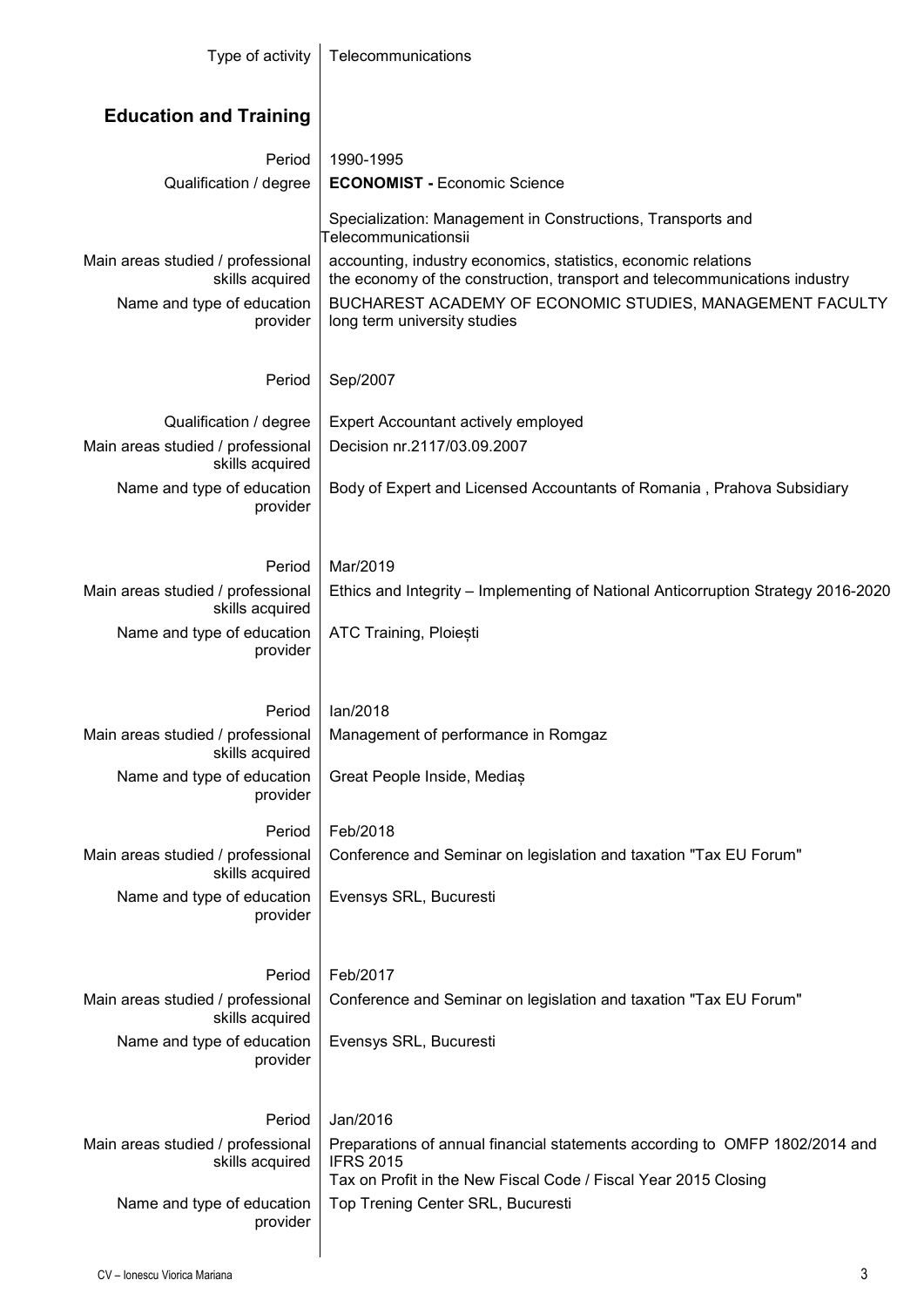| Type of activity                                     | Telecommunications                                                                                                                           |  |  |  |  |  |  |
|------------------------------------------------------|----------------------------------------------------------------------------------------------------------------------------------------------|--|--|--|--|--|--|
| <b>Education and Training</b>                        |                                                                                                                                              |  |  |  |  |  |  |
| Period                                               | 1990-1995                                                                                                                                    |  |  |  |  |  |  |
| Qualification / degree                               | <b>ECONOMIST - Economic Science</b>                                                                                                          |  |  |  |  |  |  |
|                                                      | Specialization: Management in Constructions, Transports and<br>Telecommunicationsii                                                          |  |  |  |  |  |  |
| Main areas studied / professional<br>skills acquired | accounting, industry economics, statistics, economic relations<br>the economy of the construction, transport and telecommunications industry |  |  |  |  |  |  |
| Name and type of education                           | BUCHAREST ACADEMY OF ECONOMIC STUDIES, MANAGEMENT FACULTY                                                                                    |  |  |  |  |  |  |
| provider                                             | long term university studies                                                                                                                 |  |  |  |  |  |  |
| Period                                               | Sep/2007                                                                                                                                     |  |  |  |  |  |  |
| Qualification / degree                               | Expert Accountant actively employed                                                                                                          |  |  |  |  |  |  |
| Main areas studied / professional<br>skills acquired | Decision nr.2117/03.09.2007                                                                                                                  |  |  |  |  |  |  |
| Name and type of education<br>provider               | Body of Expert and Licensed Accountants of Romania, Prahova Subsidiary                                                                       |  |  |  |  |  |  |
|                                                      |                                                                                                                                              |  |  |  |  |  |  |
| Period                                               | Mar/2019                                                                                                                                     |  |  |  |  |  |  |
| Main areas studied / professional<br>skills acquired | Ethics and Integrity – Implementing of National Anticorruption Strategy 2016-2020                                                            |  |  |  |  |  |  |
| Name and type of education<br>provider               | ATC Training, Ploiesti                                                                                                                       |  |  |  |  |  |  |
|                                                      |                                                                                                                                              |  |  |  |  |  |  |
| Period                                               | lan/2018                                                                                                                                     |  |  |  |  |  |  |
| Main areas studied / professional                    | Management of performance in Romgaz                                                                                                          |  |  |  |  |  |  |
| skills acquired<br>Name and type of education        | Great People Inside, Medias                                                                                                                  |  |  |  |  |  |  |
| provider                                             |                                                                                                                                              |  |  |  |  |  |  |
| Period                                               | Feb/2018                                                                                                                                     |  |  |  |  |  |  |
| Main areas studied / professional<br>skills acquired | Conference and Seminar on legislation and taxation "Tax EU Forum"                                                                            |  |  |  |  |  |  |
| Name and type of education                           | Evensys SRL, Bucuresti                                                                                                                       |  |  |  |  |  |  |
| provider                                             |                                                                                                                                              |  |  |  |  |  |  |
|                                                      |                                                                                                                                              |  |  |  |  |  |  |
| Period<br>Main areas studied / professional          | Feb/2017<br>Conference and Seminar on legislation and taxation "Tax EU Forum"                                                                |  |  |  |  |  |  |
| skills acquired                                      |                                                                                                                                              |  |  |  |  |  |  |
| Name and type of education<br>provider               | Evensys SRL, Bucuresti                                                                                                                       |  |  |  |  |  |  |
|                                                      |                                                                                                                                              |  |  |  |  |  |  |
| Period                                               | Jan/2016                                                                                                                                     |  |  |  |  |  |  |
| Main areas studied / professional                    | Preparations of annual financial statements according to OMFP 1802/2014 and                                                                  |  |  |  |  |  |  |
| skills acquired                                      | <b>IFRS 2015</b><br>Tax on Profit in the New Fiscal Code / Fiscal Year 2015 Closing                                                          |  |  |  |  |  |  |
| Name and type of education                           | Top Trening Center SRL, Bucuresti                                                                                                            |  |  |  |  |  |  |
| provider                                             |                                                                                                                                              |  |  |  |  |  |  |
|                                                      |                                                                                                                                              |  |  |  |  |  |  |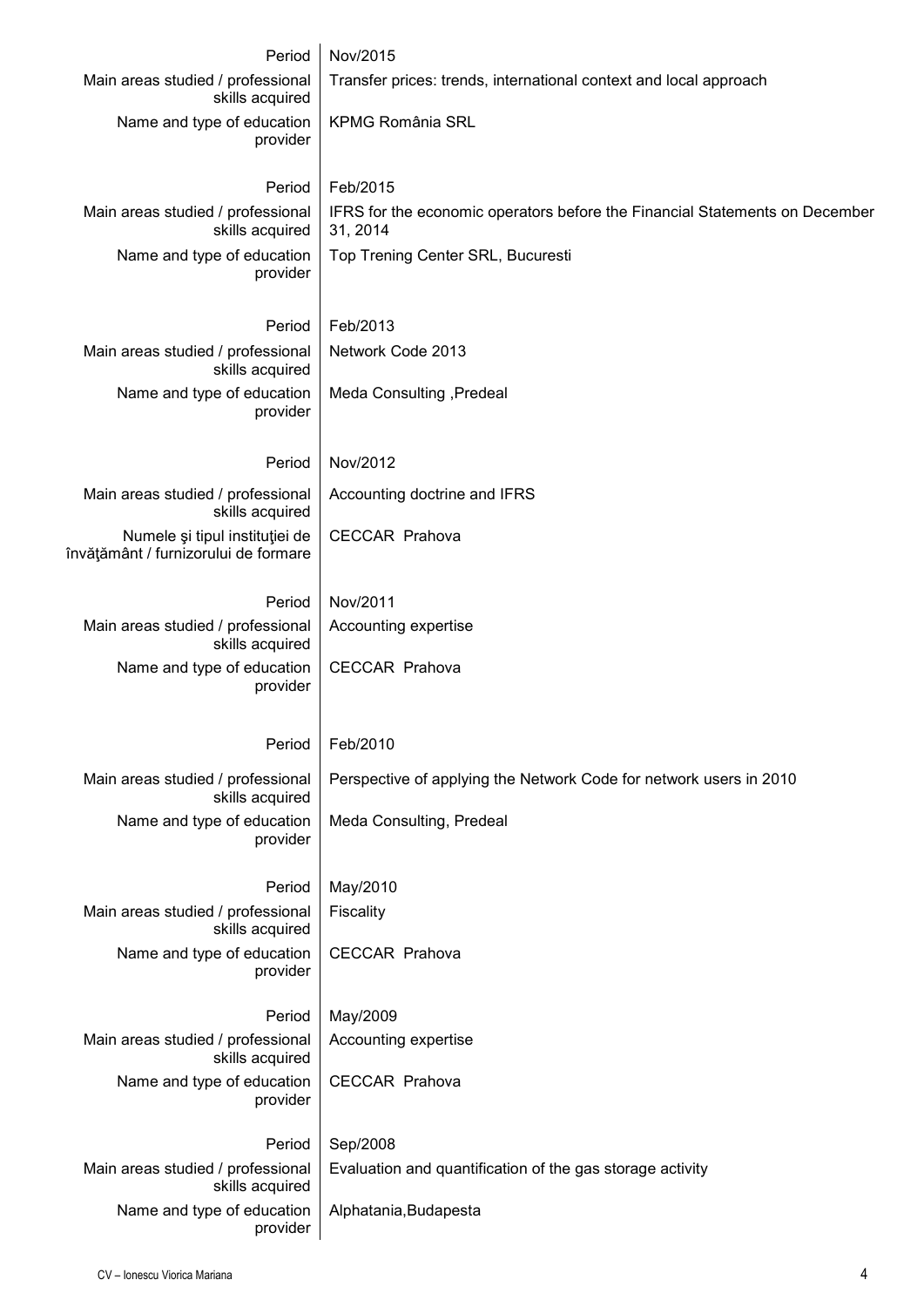| Period                                                                 | Nov/2015                                                                                |
|------------------------------------------------------------------------|-----------------------------------------------------------------------------------------|
| Main areas studied / professional<br>skills acquired                   | Transfer prices: trends, international context and local approach                       |
| Name and type of education<br>provider                                 | <b>KPMG România SRL</b>                                                                 |
| Period                                                                 | Feb/2015                                                                                |
| Main areas studied / professional<br>skills acquired                   | IFRS for the economic operators before the Financial Statements on December<br>31, 2014 |
| Name and type of education<br>provider                                 | Top Trening Center SRL, Bucuresti                                                       |
| Period                                                                 | Feb/2013                                                                                |
| Main areas studied / professional<br>skills acquired                   | Network Code 2013                                                                       |
| Name and type of education<br>provider                                 | Meda Consulting , Predeal                                                               |
| Period                                                                 | Nov/2012                                                                                |
| Main areas studied / professional<br>skills acquired                   | Accounting doctrine and IFRS                                                            |
| Numele și tipul instituției de<br>învățământ / furnizorului de formare | <b>CECCAR Prahova</b>                                                                   |
| Period                                                                 | Nov/2011                                                                                |
| Main areas studied / professional<br>skills acquired                   | Accounting expertise                                                                    |
| Name and type of education<br>provider                                 | <b>CECCAR Prahova</b>                                                                   |
| Period                                                                 | Feb/2010                                                                                |
| Main areas studied / professional<br>skills acquired                   | Perspective of applying the Network Code for network users in 2010                      |
| Name and type of education<br>provider                                 | Meda Consulting, Predeal                                                                |
| Period                                                                 | May/2010                                                                                |
| Main areas studied / professional<br>skills acquired                   | Fiscality                                                                               |
| Name and type of education<br>provider                                 | <b>CECCAR Prahova</b>                                                                   |
| Period                                                                 | May/2009                                                                                |
| Main areas studied / professional<br>skills acquired                   | Accounting expertise                                                                    |
| Name and type of education<br>provider                                 | <b>CECCAR Prahova</b>                                                                   |
| Period                                                                 | Sep/2008                                                                                |
| Main areas studied / professional<br>skills acquired                   | Evaluation and quantification of the gas storage activity                               |
| Name and type of education<br>provider                                 | Alphatania, Budapesta                                                                   |